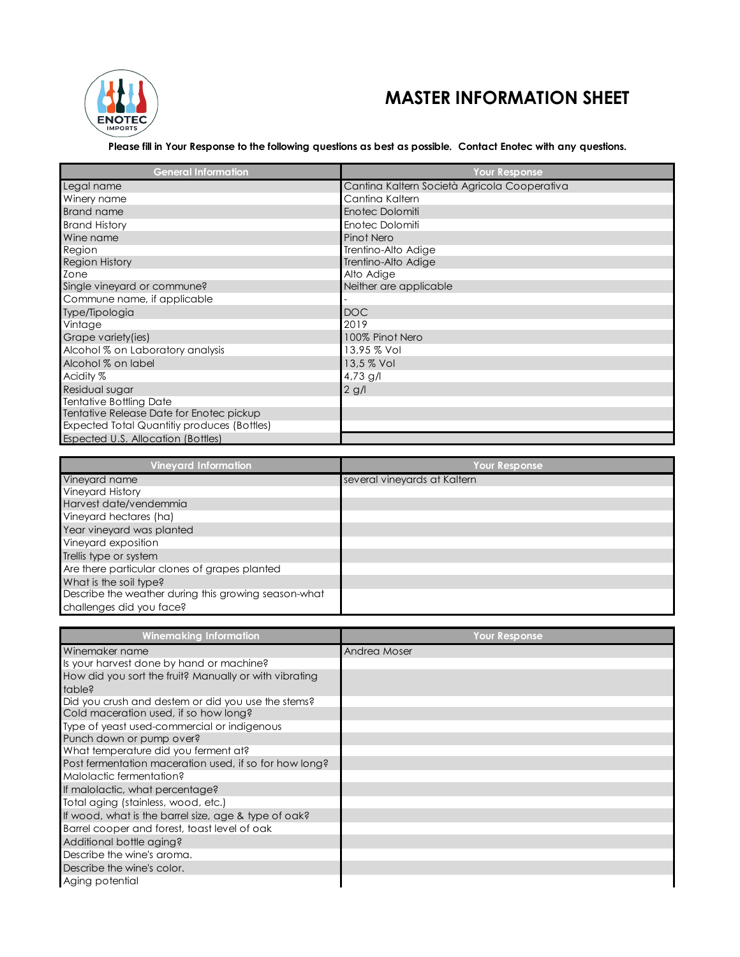

## **MASTER INFORMATION SHEET**

## **Please fill in Your Response to the following questions as best as possible. Contact Enotec with any questions.**

| <b>General Information</b>                  | <b>Your Response</b>                         |
|---------------------------------------------|----------------------------------------------|
| Legal name                                  | Cantina Kaltern Società Agricola Cooperativa |
| Winery name                                 | Cantina Kaltern                              |
| <b>Brand name</b>                           | Enotec Dolomiti                              |
| <b>Brand History</b>                        | Enotec Dolomiti                              |
| Wine name                                   | Pinot Nero                                   |
| Region                                      | Trentino-Alto Adige                          |
| <b>Region History</b>                       | Trentino-Alto Adige                          |
| Zone                                        | Alto Adige                                   |
| Single vineyard or commune?                 | Neither are applicable                       |
| Commune name, if applicable                 |                                              |
| Type/Tipologia                              | <b>DOC</b>                                   |
| Vintage                                     | 2019                                         |
| Grape variety(ies)                          | 100% Pinot Nero                              |
| Alcohol % on Laboratory analysis            | 13,95 % Vol                                  |
| Alcohol % on label                          | 13,5 % Vol                                   |
| Acidity %                                   | 4,73 g/l                                     |
| Residual sugar                              | $2$ g/l                                      |
| <b>Tentative Bottling Date</b>              |                                              |
| Tentative Release Date for Enotec pickup    |                                              |
| Expected Total Quantitiy produces (Bottles) |                                              |
| Espected U.S. Allocation (Bottles)          |                                              |

| <b>Vineyard Information</b>                          | Your Response                |
|------------------------------------------------------|------------------------------|
| Vineyard name                                        | several vineyards at Kaltern |
| <b>Vineyard History</b>                              |                              |
| Harvest date/vendemmia                               |                              |
| Vineyard hectares (ha)                               |                              |
| Year vineyard was planted                            |                              |
| Vineyard exposition                                  |                              |
| Trellis type or system                               |                              |
| Are there particular clones of grapes planted        |                              |
| What is the soil type?                               |                              |
| Describe the weather during this growing season-what |                              |
| challenges did you face?                             |                              |

| <b>Winemaking Information</b>                          | <b>Your Response</b> |
|--------------------------------------------------------|----------------------|
| Winemaker name                                         | Andrea Moser         |
| Is your harvest done by hand or machine?               |                      |
| How did you sort the fruit? Manually or with vibrating |                      |
| table?                                                 |                      |
| Did you crush and destem or did you use the stems?     |                      |
| Cold maceration used, if so how long?                  |                      |
| Type of yeast used-commercial or indigenous            |                      |
| Punch down or pump over?                               |                      |
| What temperature did you ferment at?                   |                      |
| Post fermentation maceration used, if so for how long? |                      |
| Malolactic fermentation?                               |                      |
| If malolactic, what percentage?                        |                      |
| Total aging (stainless, wood, etc.)                    |                      |
| If wood, what is the barrel size, age & type of oak?   |                      |
| Barrel cooper and forest, toast level of oak           |                      |
| Additional bottle aging?                               |                      |
| Describe the wine's aroma.                             |                      |
| Describe the wine's color.                             |                      |
| Aging potential                                        |                      |